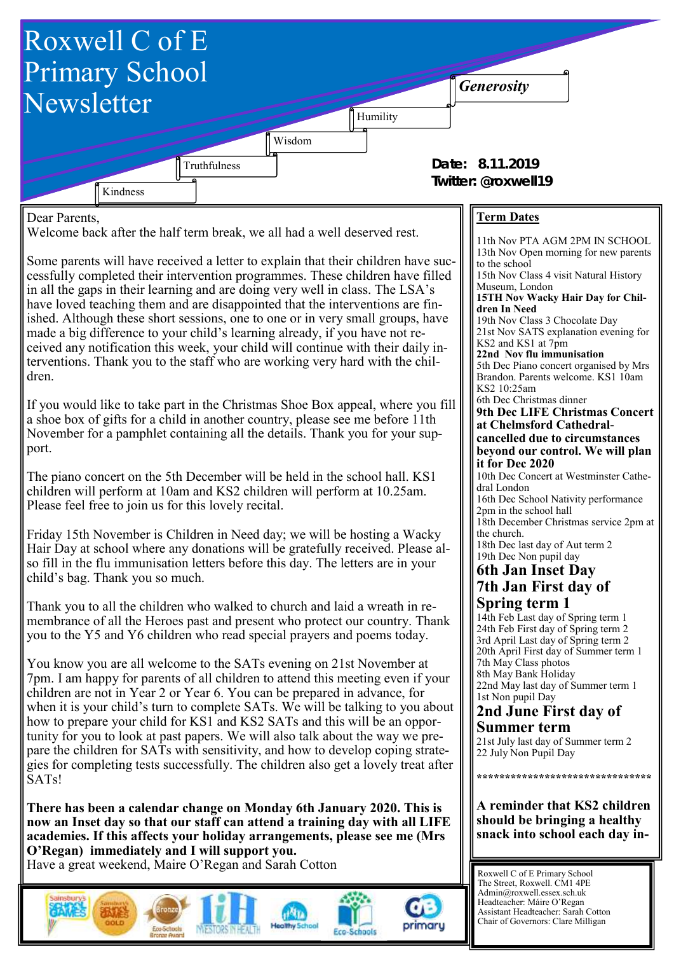